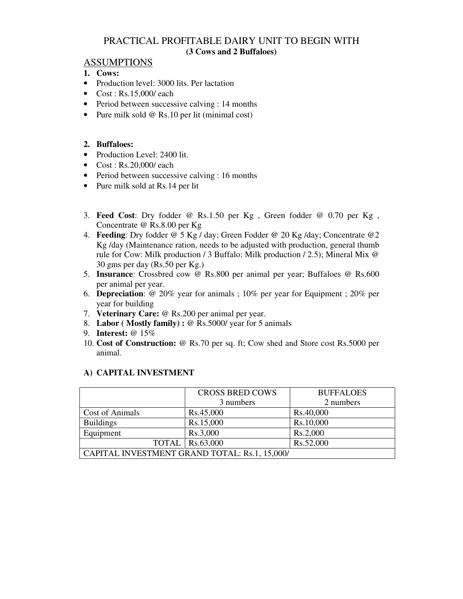## PRACTICAL PROFITABLE DAIRY UNIT TO BEGIN WITH **(3 Cows and 2 Buffaloes)**

#### **ASSUMPTIONS**

- **1. Cows:**
- Production level: 3000 lits. Per lactation
- $\bullet$  Cost : Rs.15,000/ each
- Period between successive calving : 14 months
- Pure milk sold @ Rs.10 per lit (minimal cost)

#### **2. Buffaloes:**

- Production Level: 2400 lit.
- $\bullet$  Cost : Rs.20,000/ each
- Period between successive calving : 16 months
- Pure milk sold at Rs.14 per lit
- 3. **Feed Cost**: Dry fodder @ Rs.1.50 per Kg , Green fodder @ 0.70 per Kg , Concentrate @ Rs.8.00 per Kg
- 4. **Feeding**: Dry fodder @ 5 Kg / day; Green Fodder @ 20 Kg /day; Concentrate @2 Kg /day (Maintenance ration, needs to be adjusted with production, general thumb rule for Cow: Milk production / 3 Buffalo: Milk production / 2.5); Mineral Mix @ 30 gms per day (Rs.50 per Kg.)
- 5. **Insurance**: Crossbred cow @ Rs.800 per animal per year; Buffaloes @ Rs.600 per animal per year.
- 6. **Depreciation**: @ 20% year for animals ; 10% per year for Equipment ; 20% per year for building
- 7. **Veterinary Care:** @ Rs.200 per animal per year.
- 8. **Labor ( Mostly family) :** @ Rs.5000/ year for 5 animals
- 9. **Interest:** @ 15%
- 10. **Cost of Construction:** @ Rs.70 per sq. ft; Cow shed and Store cost Rs.5000 per animal.

|                                               | <b>CROSS BRED COWS</b>   | <b>BUFFALOES</b> |
|-----------------------------------------------|--------------------------|------------------|
|                                               | 3 numbers                | 2 numbers        |
| Cost of Animals                               | Rs.45,000                | Rs.40,000        |
| <b>Buildings</b>                              | Rs.15,000                | Rs.10,000        |
| Equipment                                     | Rs.3,000                 | Rs.2,000         |
|                                               | <b>TOTAL</b>   Rs.63,000 | Rs.52,000        |
| CAPITAL INVESTMENT GRAND TOTAL: Rs.1, 15,000/ |                          |                  |

#### **A) CAPITAL INVESTMENT**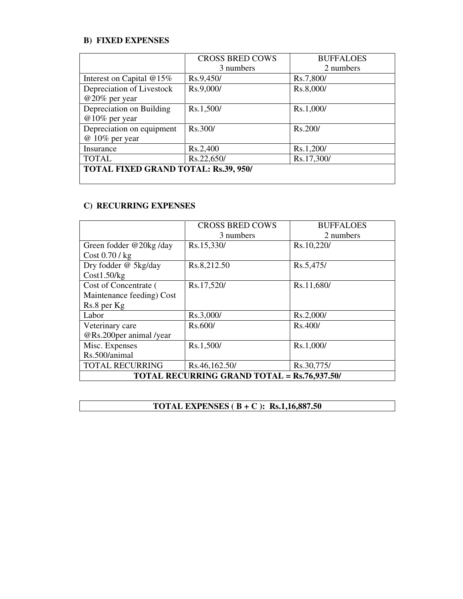## **B) FIXED EXPENSES**

|                                             | <b>CROSS BRED COWS</b> | <b>BUFFALOES</b> |
|---------------------------------------------|------------------------|------------------|
|                                             | 3 numbers              | 2 numbers        |
| Interest on Capital @15%                    | Rs.9,450/              | Rs.7,800/        |
| Depreciation of Livestock                   | Rs.9,000/              | Rs.8,000/        |
| $@20\%$ per year                            |                        |                  |
| Depreciation on Building                    | Rs.1,500/              | Rs.1,000/        |
| $@10\%$ per year                            |                        |                  |
| Depreciation on equipment                   | Rs.300/                | Rs.200/          |
| @ 10% per year                              |                        |                  |
| Insurance                                   | Rs.2,400               | Rs.1,200/        |
| <b>TOTAL</b>                                | Rs.22,650/             | Rs.17,300/       |
| <b>TOTAL FIXED GRAND TOTAL: Rs.39, 950/</b> |                        |                  |
|                                             |                        |                  |

## **C) RECURRING EXPENSES**

|                                                    | <b>CROSS BRED COWS</b> | <b>BUFFALOES</b> |
|----------------------------------------------------|------------------------|------------------|
|                                                    | 3 numbers              | 2 numbers        |
| Green fodder @20kg/day                             | Rs.15,330/             | Rs.10,220/       |
| $Cost\ 0.70$ / kg                                  |                        |                  |
| Dry fodder @ 5kg/day                               | Rs.8,212.50            | Rs.5,475/        |
| Cost1.50/kg                                        |                        |                  |
| Cost of Concentrate (                              | Rs.17,520/             | Rs.11,680/       |
| Maintenance feeding) Cost                          |                        |                  |
| Rs.8 per Kg                                        |                        |                  |
| Labor                                              | Rs.3,000/              | Rs.2,000/        |
| Veterinary care                                    | Rs.600/                | Rs.400/          |
| @Rs.200per animal /year                            |                        |                  |
| Misc. Expenses                                     | Rs.1,500/              | Rs.1,000/        |
| Rs.500/animal                                      |                        |                  |
| <b>TOTAL RECURRING</b>                             | Rs.46,162.50/          | Rs.30,775/       |
| <b>TOTAL RECURRING GRAND TOTAL = Rs.76,937.50/</b> |                        |                  |

**TOTAL EXPENSES ( B + C ): Rs.1,16,887.50**